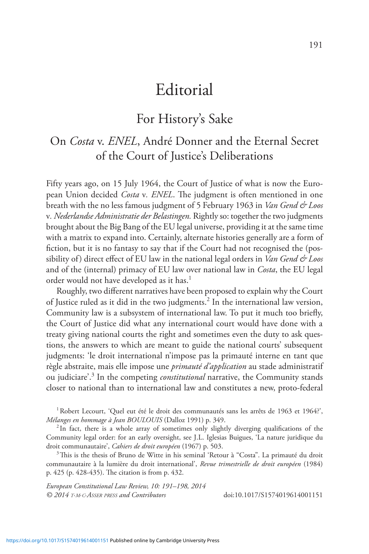# Editorial

### For History's Sake

## On *Costa* v. *ENEL*, André Donner and the Eternal Secret of the Court of Justice's Deliberations

Fifty years ago, on 15 July 1964, the Court of Justice of what is now the European Union decided *Costa* v*. ENEL*. The judgment is often mentioned in one breath with the no less famous judgment of 5 February 1963 in *Van Gend & Loos*  v*. Nederlandse Administratie der Belastingen.* Rightly so: together the two judgments brought about the Big Bang of the EU legal universe, providing it at the same time with a matrix to expand into. Certainly, alternate histories generally are a form of fiction, but it is no fantasy to say that if the Court had not recognised the (possibility of) direct effect of EU law in the national legal orders in *Van Gend & Loos* and of the (internal) primacy of EU law over national law in *Costa*, the EU legal order would not have developed as it has.<sup>1</sup>

Roughly, two different narratives have been proposed to explain why the Court of Justice ruled as it did in the two judgments.<sup>2</sup> In the international law version, Community law is a subsystem of international law. To put it much too briefly, the Court of Justice did what any international court would have done with a treaty giving national courts the right and sometimes even the duty to ask questions, the answers to which are meant to guide the national courts' subsequent judgments: 'le droit international n'impose pas la primauté interne en tant que règle abstraite, mais elle impose une *primauté d'application* au stade administratif ou judiciare'.<sup>3</sup> In the competing *constitutional* narrative, the Community stands closer to national than to international law and constitutes a new, proto-federal

<sup>1</sup> Robert Lecourt, 'Quel eut été le droit des communautés sans les arrêts de 1963 et 1964?', *Mélanges en hommage à Jean BOULOUIS* (Dalloz 1991) p. 349.

<sup>2</sup>In fact, there is a whole array of sometimes only slightly diverging qualifications of the Community legal order: for an early oversight, see J.L. Iglesias Buigues, 'La nature juridique du droit communautaire', *Cahiers de droit européen* (1967) p. 503.

<sup>3</sup>This is the thesis of Bruno de Witte in his seminal 'Retour à "Costa". La primauté du droit communautaire à la lumière du droit international', *Revue trimestrielle de droit européen* (1984) p. 425 (p. 428-435). The citation is from p. 432.

*European Constitutional Law Review, 10: 191–198, 2014 © 2014 t.m.c.Asser press and Contributors* doi:10.1017/S1574019614001151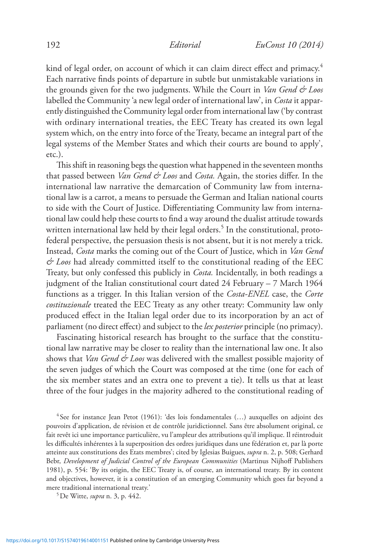kind of legal order, on account of which it can claim direct effect and primacy.<sup>4</sup> Each narrative finds points of departure in subtle but unmistakable variations in the grounds given for the two judgments. While the Court in *Van Gend & Loos* labelled the Community 'a new legal order of international law', in *Costa* it apparently distinguished the Community legal order from international law ('by contrast with ordinary international treaties, the EEC Treaty has created its own legal system which, on the entry into force of the Treaty, became an integral part of the legal systems of the Member States and which their courts are bound to apply', etc.).

This shift in reasoning begs the question what happened in the seventeen months that passed between *Van Gend & Loos* and *Costa.* Again, the stories differ. In the international law narrative the demarcation of Community law from international law is a carrot, a means to persuade the German and Italian national courts to side with the Court of Justice. Differentiating Community law from international law could help these courts to find a way around the dualist attitude towards written international law held by their legal orders. $^5$  In the constitutional, protofederal perspective, the persuasion thesis is not absent, but it is not merely a trick. Instead, *Costa* marks the coming out of the Court of Justice, which in *Van Gend & Loos* had already committed itself to the constitutional reading of the EEC Treaty, but only confessed this publicly in *Costa.* Incidentally, in both readings a judgment of the Italian constitutional court dated 24 February – 7 March 1964 functions as a trigger. In this Italian version of the *Costa-ENEL* case, the *Corte costituzionale* treated the EEC Treaty as any other treaty: Community law only produced effect in the Italian legal order due to its incorporation by an act of parliament (no direct effect) and subject to the *lex posterior* principle (no primacy).

Fascinating historical research has brought to the surface that the constitutional law narrative may be closer to reality than the international law one. It also shows that *Van Gend & Loos* was delivered with the smallest possible majority of the seven judges of which the Court was composed at the time (one for each of the six member states and an extra one to prevent a tie). It tells us that at least three of the four judges in the majority adhered to the constitutional reading of

<sup>4</sup> See for instance Jean Petot (1961): 'des lois fondamentales (…) auxquelles on adjoint des pouvoirs d'application, de révision et de contrôle juridictionnel. Sans être absolument original, ce fait revêt ici une importance particulière, vu l'ampleur des attributions qu'il implique. Il réintroduit les difficultés inhérentes à la superposition des ordres juridiques dans une fédération et, par là porte atteinte aux constitutions des Etats membres'; cited by Iglesias Buigues, *supra* n. 2, p. 508; Gerhard Bebr, *Development of Judicial Control of the European Communities* (Martinus Nijhoff Publishers 1981), p. 554: 'By its origin, the EEC Treaty is, of course, an international treaty. By its content and objectives, however, it is a constitution of an emerging Community which goes far beyond a mere traditional international treaty.'

5De Witte, *supra* n. 3, p. 442.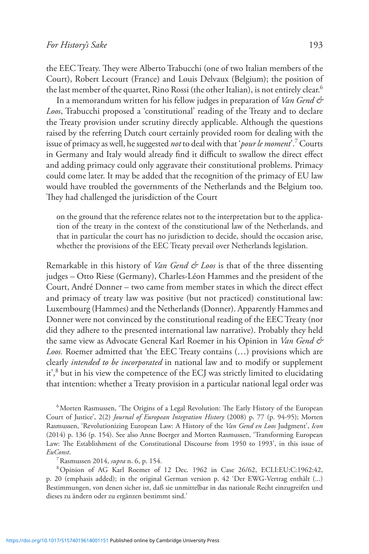the EEC Treaty. They were Alberto Trabucchi (one of two Italian members of the Court), Robert Lecourt (France) and Louis Delvaux (Belgium); the position of the last member of the quartet, Rino Rossi (the other Italian), is not entirely clear.<sup>6</sup>

In a memorandum written for his fellow judges in preparation of *Van Gend & Loos*, Trabucchi proposed a 'constitutional' reading of the Treaty and to declare the Treaty provision under scrutiny directly applicable. Although the questions raised by the referring Dutch court certainly provided room for dealing with the issue of primacy as well, he suggested *not* to deal with that '*pour le moment*'.7 Courts in Germany and Italy would already find it difficult to swallow the direct effect and adding primacy could only aggravate their constitutional problems. Primacy could come later. It may be added that the recognition of the primacy of EU law would have troubled the governments of the Netherlands and the Belgium too. They had challenged the jurisdiction of the Court

on the ground that the reference relates not to the interpretation but to the application of the treaty in the context of the constitutional law of the Netherlands, and that in particular the court has no jurisdiction to decide, should the occasion arise, whether the provisions of the EEC Treaty prevail over Netherlands legislation.

Remarkable in this history of *Van Gend & Loos* is that of the three dissenting judges – Otto Riese (Germany), Charles-Léon Hammes and the president of the Court, André Donner – two came from member states in which the direct effect and primacy of treaty law was positive (but not practiced) constitutional law: Luxembourg (Hammes) and the Netherlands (Donner). Apparently Hammes and Donner were not convinced by the constitutional reading of the EEC Treaty (nor did they adhere to the presented international law narrative). Probably they held the same view as Advocate General Karl Roemer in his Opinion in *Van Gend & Loos.* Roemer admitted that 'the EEC Treaty contains (…) provisions which are clearly *intended to be incorporated* in national law and to modify or supplement it',<sup>8</sup> but in his view the competence of the ECJ was strictly limited to elucidating that intention: whether a Treaty provision in a particular national legal order was

<sup>6</sup> Morten Rasmussen, 'The Origins of a Legal Revolution: The Early History of the European Court of Justice', 2(2) *Journal of European Integration History* (2008) p. 77 (p. 94-95); Morten Rasmussen, 'Revolutionizing European Law: A History of the *Van Gend en Loos* Judgment', *Icon*  (2014) p. 136 (p. 154). See also Anne Boerger and Morten Rasmussen, 'Transforming European Law: The Establishment of the Constitutional Discourse from 1950 to 1993', in this issue of *EuConst.*<br><sup>7</sup> Rasmussen 2014, *supra* n. 6, p. 154.

<sup>8</sup> Opinion of AG Karl Roemer of 12 Dec. 1962 in Case 26/62, ECLI:EU:C:1962:42, p. 20 (emphasis added); in the original German version p. 42 'Der EWG-Vertrag enthält (...) Bestimmungen, von denen sicher ist, daß sie unmittelbar in das nationale Recht einzugreifen und dieses zu ändern oder zu ergänzen bestimmt sind.'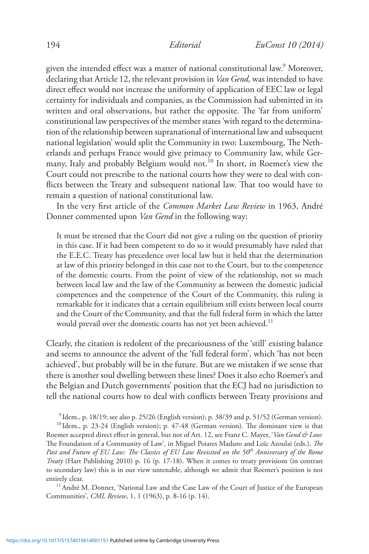given the intended effect was a matter of national constitutional law. $^9$  Moreover, declaring that Article 12, the relevant provision in *Van Gend,* was intended to have direct effect would not increase the uniformity of application of EEC law or legal certainty for individuals and companies, as the Commission had submitted in its written and oral observations, but rather the opposite. The 'far from uniform' constitutional law perspectives of the member states 'with regard to the determination of the relationship between supranational of international law and subsequent national legislation' would split the Community in two: Luxembourg, The Netherlands and perhaps France would give primacy to Community law, while Germany, Italy and probably Belgium would not.<sup>10</sup> In short, in Roemer's view the Court could not prescribe to the national courts how they were to deal with conflicts between the Treaty and subsequent national law. That too would have to remain a question of national constitutional law.

In the very first article of the *Common Market Law Review* in 1963, André Donner commented upon *Van Gend* in the following way:

It must be stressed that the Court did not give a ruling on the question of priority in this case. If it had been competent to do so it would presumably have ruled that the E.E.C. Treaty has precedence over local law but it held that the determination at law of this priority belonged in this case not to the Court, but to the competence of the domestic courts. From the point of view of the relationship, not so much between local law and the law of the Community as between the domestic judicial competences and the competence of the Court of the Community, this ruling is remarkable for it indicates that a certain equilibrium still exists between local courts and the Court of the Community, and that the full federal form in which the latter would prevail over the domestic courts has not yet been achieved.<sup>11</sup>

Clearly, the citation is redolent of the precariousness of the 'still' existing balance and seems to announce the advent of the 'full federal form', which 'has not been achieved', but probably will be in the future. But are we mistaken if we sense that there is another soul dwelling between these lines? Does it also echo Roemer's and the Belgian and Dutch governments' position that the ECJ had no jurisdiction to tell the national courts how to deal with conflicts between Treaty provisions and

<sup>9</sup> Idem., p. 18/19; see also p. 25/26 (English version); p. 38/39 and p. 51/52 (German version).

<sup>10</sup> Idem., p. 23-24 (English version); p. 47-48 (German version). The dominant view is that Roemer accepted direct effect in general, but not of Art. 12, see Franz C. Mayer, '*Van Gend & Loos:* The Foundation of a Community of Law', in Miguel Poiares Maduro and Loïc Azoulai (eds.), *The Past and Future of EU Law: The Classics of EU Law Revisited on the 50th Anniversary of the Rome Treaty* (Hart Publishing 2010) p. 16 (p. 17-18). When it comes to treaty provisions (in contrast to secondary law) this is in our view untenable, although we admit that Roemer's position is not entirely clear.<br><sup>11</sup> André M. Donner, 'National Law and the Case Law of the Court of Justice of the European

Communities', *CML Review*, 1, 1 (1963), p. 8-16 (p. 14).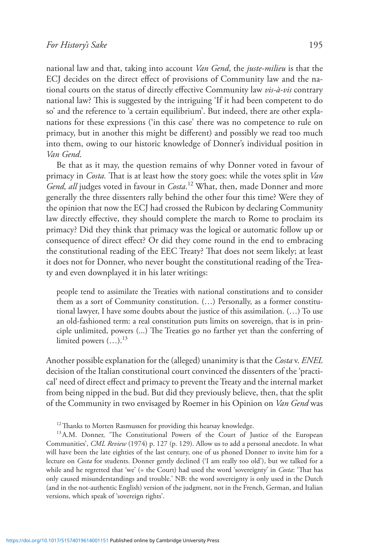national law and that, taking into account *Van Gend*, the *juste-milieu* is that the ECJ decides on the direct effect of provisions of Community law and the national courts on the status of directly effective Community law *vis-à-vis* contrary national law? This is suggested by the intriguing 'If it had been competent to do so' and the reference to 'a certain equilibrium'. But indeed, there are other explanations for these expressions ('in this case' there was no competence to rule on primacy, but in another this might be different) and possibly we read too much into them, owing to our historic knowledge of Donner's individual position in *Van Gend*.

Be that as it may, the question remains of why Donner voted in favour of primacy in *Costa.* That is at least how the story goes: while the votes split in *Van Gend, all* judges voted in favour in *Costa*. 12 What, then, made Donner and more generally the three dissenters rally behind the other four this time? Were they of the opinion that now the ECJ had crossed the Rubicon by declaring Community law directly effective, they should complete the march to Rome to proclaim its primacy? Did they think that primacy was the logical or automatic follow up or consequence of direct effect? Or did they come round in the end to embracing the constitutional reading of the EEC Treaty? That does not seem likely; at least it does not for Donner, who never bought the constitutional reading of the Treaty and even downplayed it in his later writings:

people tend to assimilate the Treaties with national constitutions and to consider them as a sort of Community constitution. (…) Personally, as a former constitutional lawyer, I have some doubts about the justice of this assimilation. (…) To use an old-fashioned term: a real constitution puts limits on sovereign, that is in principle unlimited, powers (...) The Treaties go no farther yet than the conferring of limited powers  $(...)$ .<sup>13</sup>

Another possible explanation for the (alleged) unanimity is that the *Costa* v. *ENEL* decision of the Italian constitutional court convinced the dissenters of the 'practical' need of direct effect and primacy to prevent the Treaty and the internal market from being nipped in the bud. But did they previously believe, then, that the split of the Community in two envisaged by Roemer in his Opinion on *Van Gend* was

 $12$ Thanks to Morten Rasmussen for providing this hearsay knowledge.

<sup>&</sup>lt;sup>13</sup> A.M. Donner, 'The Constitutional Powers of the Court of Justice of the European Communities', *CML Review* (1974) p. 127 (p. 129). Allow us to add a personal anecdote. In what will have been the late eighties of the last century, one of us phoned Donner to invite him for a lecture on *Costa* for students. Donner gently declined ('I am really too old'), but we talked for a while and he regretted that 'we' (= the Court) had used the word 'sovereignty' in *Costa*: 'That has only caused misunderstandings and trouble.' NB: the word sovereignty is only used in the Dutch (and in the not-authentic English) version of the judgment, not in the French, German, and Italian versions, which speak of 'sovereign rights'.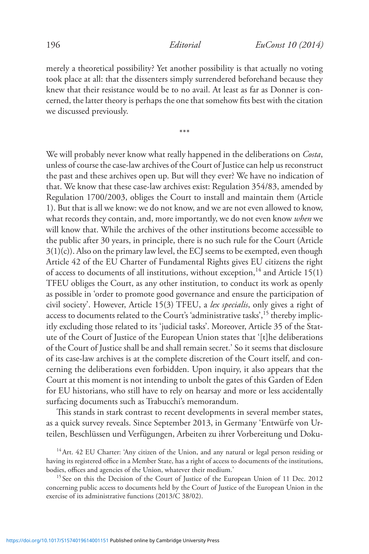merely a theoretical possibility? Yet another possibility is that actually no voting took place at all: that the dissenters simply surrendered beforehand because they knew that their resistance would be to no avail. At least as far as Donner is concerned, the latter theory is perhaps the one that somehow fits best with the citation we discussed previously.

\*\*\*

We will probably never know what really happened in the deliberations on *Costa*, unless of course the case-law archives of the Court of Justice can help us reconstruct the past and these archives open up. But will they ever? We have no indication of that. We know that these case-law archives exist: Regulation 354/83, amended by Regulation 1700/2003, obliges the Court to install and maintain them (Article 1). But that is all we know: we do not know, and we are not even allowed to know, what records they contain, and, more importantly, we do not even know *when* we will know that. While the archives of the other institutions become accessible to the public after 30 years, in principle, there is no such rule for the Court (Article  $3(1)(c)$ ). Also on the primary law level, the ECJ seems to be exempted, even though Article 42 of the EU Charter of Fundamental Rights gives EU citizens the right of access to documents of all institutions, without exception,<sup>14</sup> and Article 15(1) TFEU obliges the Court, as any other institution, to conduct its work as openly as possible in 'order to promote good governance and ensure the participation of civil society'. However, Article 15(3) TFEU, a *lex specialis*, only gives a right of access to documents related to the Court's 'administrative tasks',<sup>15</sup> thereby implicitly excluding those related to its 'judicial tasks'. Moreover, Article 35 of the Statute of the Court of Justice of the European Union states that '[t]he deliberations of the Court of Justice shall be and shall remain secret.' So it seems that disclosure of its case-law archives is at the complete discretion of the Court itself, and concerning the deliberations even forbidden. Upon inquiry, it also appears that the Court at this moment is not intending to unbolt the gates of this Garden of Eden for EU historians, who still have to rely on hearsay and more or less accidentally surfacing documents such as Trabucchi's memorandum.

This stands in stark contrast to recent developments in several member states, as a quick survey reveals. Since September 2013, in Germany 'Entwürfe von Urteilen, Beschlüssen und Verfügungen, Arbeiten zu ihrer Vorbereitung und Doku-

<sup>&</sup>lt;sup>14</sup> Art. 42 EU Charter: 'Any citizen of the Union, and any natural or legal person residing or having its registered office in a Member State, has a right of access to documents of the institutions, bodies, offices and agencies of the Union, whatever their medium.'

<sup>&</sup>lt;sup>15</sup> See on this the Decision of the Court of Justice of the European Union of 11 Dec. 2012 concerning public access to documents held by the Court of Justice of the European Union in the exercise of its administrative functions (2013/C 38/02).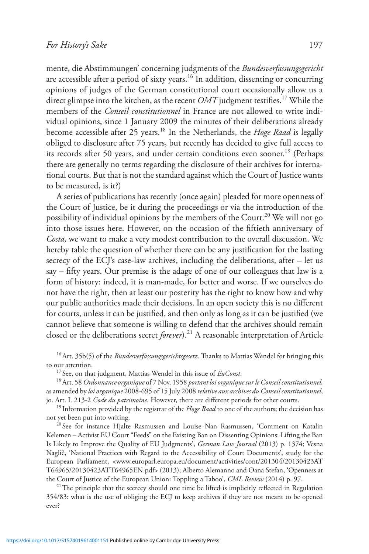mente, die Abstimmungen' concerning judgments of the *Bundesverfassungsgericht* are accessible after a period of sixty years.16 In addition, dissenting or concurring opinions of judges of the German constitutional court occasionally allow us a direct glimpse into the kitchen, as the recent *OMT* judgment testifies.<sup>17</sup> While the members of the *Conseil constitutionnel* in France are not allowed to write individual opinions, since 1 January 2009 the minutes of their deliberations already become accessible after 25 years.18 In the Netherlands, the *Hoge Raad* is legally obliged to disclosure after 75 years, but recently has decided to give full access to its records after 50 years, and under certain conditions even sooner.<sup>19</sup> (Perhaps there are generally no terms regarding the disclosure of their archives for international courts. But that is not the standard against which the Court of Justice wants to be measured, is it?)

A series of publications has recently (once again) pleaded for more openness of the Court of Justice, be it during the proceedings or via the introduction of the possibility of individual opinions by the members of the Court.20 We will not go into those issues here. However, on the occasion of the fiftieth anniversary of *Costa,* we want to make a very modest contribution to the overall discussion. We hereby table the question of whether there can be any justification for the lasting secrecy of the ECJ's case-law archives, including the deliberations, after – let us say – fifty years. Our premise is the adage of one of our colleagues that law is a form of history: indeed, it is man-made, for better and worse. If we ourselves do not have the right, then at least our posterity has the right to know how and why our public authorities made their decisions. In an open society this is no different for courts, unless it can be justified, and then only as long as it can be justified (we cannot believe that someone is willing to defend that the archives should remain closed or the deliberations secret *forever*).<sup>21</sup> A reasonable interpretation of Article

16Art. 35b(5) of the *Bundesverfassungsgerichtsgesetz*. Thanks to Mattias Wendel for bringing this to our attention. 17 See, on that judgment, Mattias Wendel in this issue of *EuConst*.

18Art. 58 *Ordonnance organique* of 7 Nov. 1958 *portant loi organique sur le Conseil constitutionnel,* as amended by *loi organique* 2008-695 of 15 July 2008 *relative aux archives du Conseil constitutionnel*, jo. Art. L 213-2 *Code du patrimoine*. However, there are different periods for other courts.

<sup>19</sup> Information provided by the registrar of the *Hoge Raad* to one of the authors; the decision has not yet been put into writing.

<sup>20</sup> See for instance Hjalte Rasmussen and Louise Nan Rasmussen, 'Comment on Katalin Kelemen – Activist EU Court "Feeds" on the Existing Ban on Dissenting Opinions: Lifting the Ban Is Likely to Improve the Quality of EU Judgments', *German Law Journal* (2013) p. 1374; Vesna Naglič, 'National Practices with Regard to the Accessibility of Court Documents', study for the European Parliament, <www.europarl.europa.eu/document/activities/cont/201304/20130423AT T64965/20130423ATT64965EN.pdf> (2013); Alberto Alemanno and Oana Stefan, 'Openness at the Court of Justice of the European Union: Toppling a Taboo', *CML Review* (2014) p. 97.<br><sup>21</sup>The principle that the secrecy should one time be lifted is implicitly reflected in Regulation

354/83: what is the use of obliging the ECJ to keep archives if they are not meant to be opened ever?